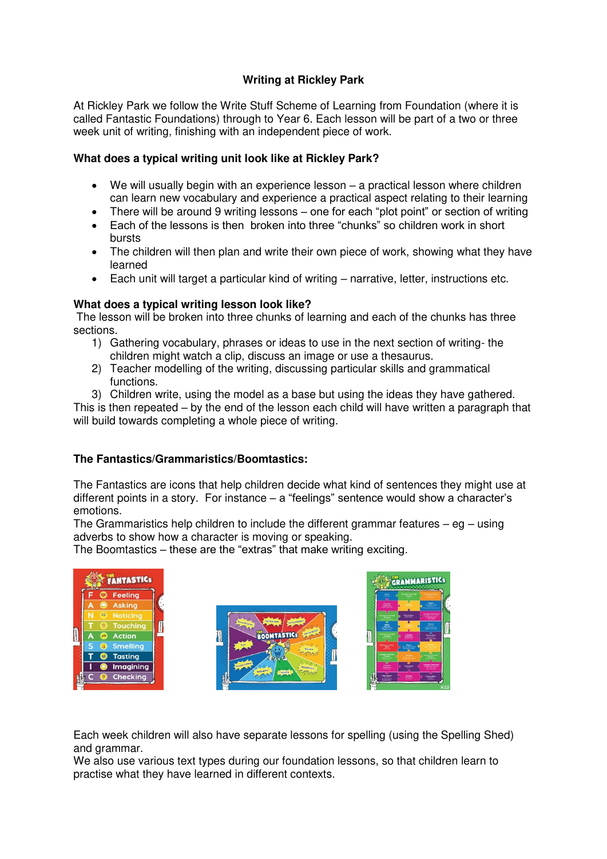# **Writing at Rickley Park**

At Rickley Park we follow the Write Stuff Scheme of Learning from Foundation (where it is called Fantastic Foundations) through to Year 6. Each lesson will be part of a two or three week unit of writing, finishing with an independent piece of work.

## **What does a typical writing unit look like at Rickley Park?**

- We will usually begin with an experience lesson a practical lesson where children can learn new vocabulary and experience a practical aspect relating to their learning
- There will be around 9 writing lessons one for each "plot point" or section of writing
- Each of the lessons is then broken into three "chunks" so children work in short bursts
- The children will then plan and write their own piece of work, showing what they have learned
- Each unit will target a particular kind of writing narrative, letter, instructions etc.

## **What does a typical writing lesson look like?**

 The lesson will be broken into three chunks of learning and each of the chunks has three sections.

- 1) Gathering vocabulary, phrases or ideas to use in the next section of writing- the children might watch a clip, discuss an image or use a thesaurus.
- 2) Teacher modelling of the writing, discussing particular skills and grammatical functions.
- 3) Children write, using the model as a base but using the ideas they have gathered.

This is then repeated – by the end of the lesson each child will have written a paragraph that will build towards completing a whole piece of writing.

### **The Fantastics/Grammaristics/Boomtastics:**

The Fantastics are icons that help children decide what kind of sentences they might use at different points in a story. For instance  $-$  a "feelings" sentence would show a character's emotions.

The Grammaristics help children to include the different grammar features  $-$  eg  $-$  using adverbs to show how a character is moving or speaking.

The Boomtastics – these are the "extras" that make writing exciting.



Each week children will also have separate lessons for spelling (using the Spelling Shed) and grammar.

We also use various text types during our foundation lessons, so that children learn to practise what they have learned in different contexts.